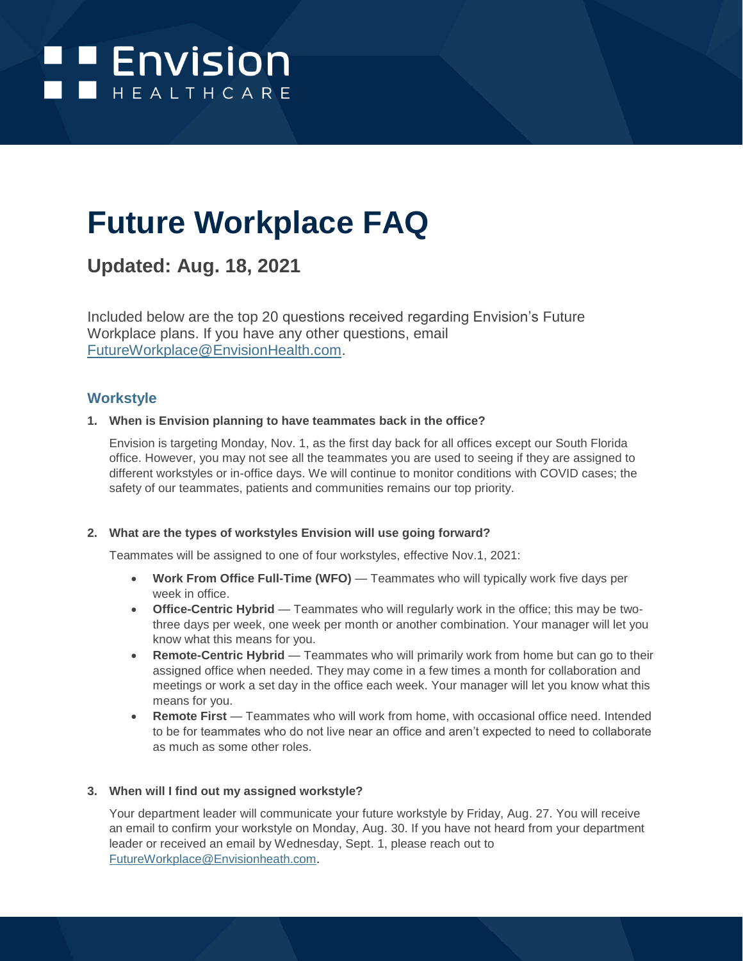

# **Future Workplace FAQ**

## **Updated: Aug. 18, 2021**

Included below are the top 20 questions received regarding Envision's Future Workplace plans. If you have any other questions, email [FutureWorkplace@EnvisionHealth.com.](mailto:FutureWorkplace@EnvisionHealth.com)

## **Workstyle**

## **1. When is Envision planning to have teammates back in the office?**

Envision is targeting Monday, Nov. 1, as the first day back for all offices except our South Florida office. However, you may not see all the teammates you are used to seeing if they are assigned to different workstyles or in-office days. We will continue to monitor conditions with COVID cases; the safety of our teammates, patients and communities remains our top priority.

## **2. What are the types of workstyles Envision will use going forward?**

Teammates will be assigned to one of four workstyles, effective Nov.1, 2021:

- **Work From Office Full-Time (WFO)** Teammates who will typically work five days per week in office.
- **Office-Centric Hybrid** Teammates who will regularly work in the office; this may be twothree days per week, one week per month or another combination. Your manager will let you know what this means for you.
- **Remote-Centric Hybrid** Teammates who will primarily work from home but can go to their assigned office when needed. They may come in a few times a month for collaboration and meetings or work a set day in the office each week. Your manager will let you know what this means for you.
- **Remote First** Teammates who will work from home, with occasional office need. Intended to be for teammates who do not live near an office and aren't expected to need to collaborate as much as some other roles.

## **3. When will I find out my assigned workstyle?**

Your department leader will communicate your future workstyle by Friday, Aug. 27. You will receive an email to confirm your workstyle on Monday, Aug. 30. If you have not heard from your department leader or received an email by Wednesday, Sept. 1, please reach out to [FutureWorkplace@Envisionheath.com.](mailto:FutureWorkplace@Envisionheath.com)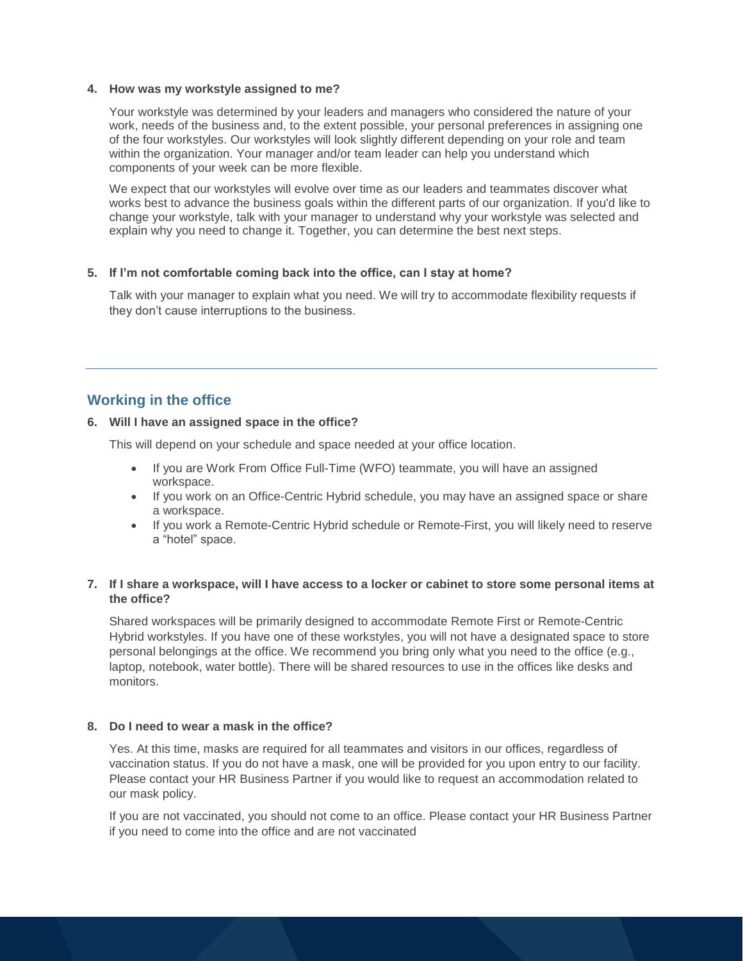#### **4. How was my workstyle assigned to me?**

Your workstyle was determined by your leaders and managers who considered the nature of your work, needs of the business and, to the extent possible, your personal preferences in assigning one of the four workstyles. Our workstyles will look slightly different depending on your role and team within the organization. Your manager and/or team leader can help you understand which components of your week can be more flexible.

We expect that our workstyles will evolve over time as our leaders and teammates discover what works best to advance the business goals within the different parts of our organization. If you'd like to change your workstyle, talk with your manager to understand why your workstyle was selected and explain why you need to change it. Together, you can determine the best next steps.

## **5. If I'm not comfortable coming back into the office, can I stay at home?**

Talk with your manager to explain what you need. We will try to accommodate flexibility requests if they don't cause interruptions to the business.

## **Working in the office**

## **6. Will I have an assigned space in the office?**

This will depend on your schedule and space needed at your office location.

- If you are Work From Office Full-Time (WFO) teammate, you will have an assigned workspace.
- If you work on an Office-Centric Hybrid schedule, you may have an assigned space or share a workspace.
- If you work a Remote-Centric Hybrid schedule or Remote-First, you will likely need to reserve a "hotel" space.

## **7. If I share a workspace, will I have access to a locker or cabinet to store some personal items at the office?**

Shared workspaces will be primarily designed to accommodate Remote First or Remote-Centric Hybrid workstyles. If you have one of these workstyles, you will not have a designated space to store personal belongings at the office. We recommend you bring only what you need to the office (e.g., laptop, notebook, water bottle). There will be shared resources to use in the offices like desks and monitors.

## **8. Do I need to wear a mask in the office?**

Yes. At this time, masks are required for all teammates and visitors in our offices, regardless of vaccination status. If you do not have a mask, one will be provided for you upon entry to our facility. Please contact your HR Business Partner if you would like to request an accommodation related to our mask policy.

If you are not vaccinated, you should not come to an office. Please contact your HR Business Partner if you need to come into the office and are not vaccinated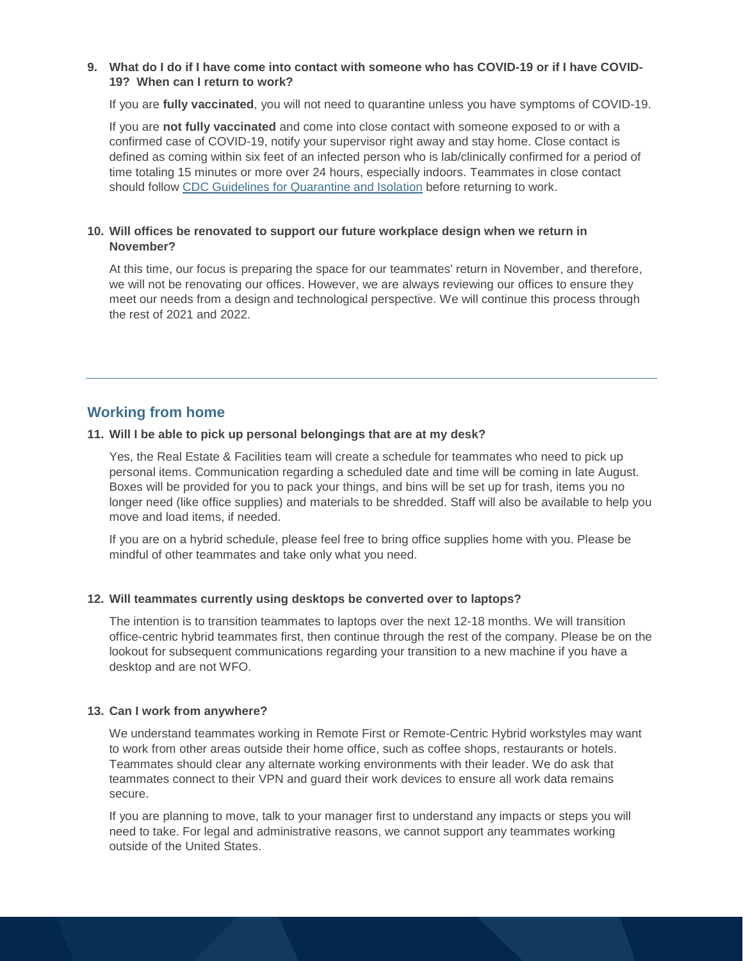## **9. What do I do if I have come into contact with someone who has COVID-19 or if I have COVID-19? When can I return to work?**

If you are **fully vaccinated**, you will not need to quarantine unless you have symptoms of COVID-19.

If you are **not fully vaccinated** and come into close contact with someone exposed to or with a confirmed case of COVID-19, notify your supervisor right away and stay home. Close contact is defined as coming within six feet of an infected person who is lab/clinically confirmed for a period of time totaling 15 minutes or more over 24 hours, especially indoors. Teammates in close contact should follow [CDC Guidelines for Quarantine and Isolation](mailto:Daniela%20Alzuru%20%3cdaniela.alzuru@envisionhealth.com%3e;%20Jennifer.Harrison@amsurg.com) before returning to work.

## **10. Will offices be renovated to support our future workplace design when we return in November?**

At this time, our focus is preparing the space for our teammates' return in November, and therefore, we will not be renovating our offices. However, we are always reviewing our offices to ensure they meet our needs from a design and technological perspective. We will continue this process through the rest of 2021 and 2022.

## **Working from home**

### **11. Will I be able to pick up personal belongings that are at my desk?**

Yes, the Real Estate & Facilities team will create a schedule for teammates who need to pick up personal items. Communication regarding a scheduled date and time will be coming in late August. Boxes will be provided for you to pack your things, and bins will be set up for trash, items you no longer need (like office supplies) and materials to be shredded. Staff will also be available to help you move and load items, if needed.

If you are on a hybrid schedule, please feel free to bring office supplies home with you. Please be mindful of other teammates and take only what you need.

## **12. Will teammates currently using desktops be converted over to laptops?**

The intention is to transition teammates to laptops over the next 12-18 months. We will transition office-centric hybrid teammates first, then continue through the rest of the company. Please be on the lookout for subsequent communications regarding your transition to a new machine if you have a desktop and are not WFO.

## **13. Can I work from anywhere?**

We understand teammates working in Remote First or Remote-Centric Hybrid workstyles may want to work from other areas outside their home office, such as coffee shops, restaurants or hotels. Teammates should clear any alternate working environments with their leader. We do ask that teammates connect to their VPN and guard their work devices to ensure all work data remains secure.

If you are planning to move, talk to your manager first to understand any impacts or steps you will need to take. For legal and administrative reasons, we cannot support any teammates working outside of the United States.